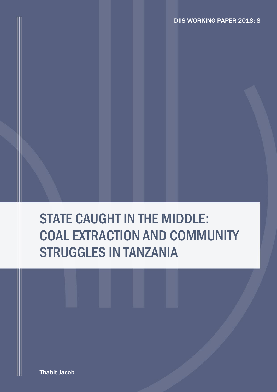# STATE CAUGHT IN THE MIDDLE: COAL EXTRACTION AND COMMUNITY STRUGGLES IN TANZANIA

Thabit Jacob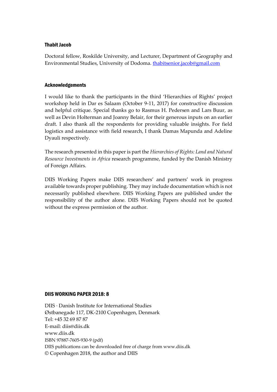#### Thabit Jacob

Doctoral fellow, Roskilde University, and Lecturer, Department of Geography and Environmental Studies, University of Dodoma. [thabitsenior.jacob@gmail.com](mailto:thabitsenior.jacob@gmail.com)

#### Acknowledgements

I would like to thank the participants in the third 'Hierarchies of Rights' project workshop held in Dar es Salaam (October 9-11, 2017) for constructive discussion and helpful critique. Special thanks go to Rasmus H. Pedersen and Lars Buur, as well as Devin Holterman and Joanny Belair, for their generous inputs on an earlier draft. I also thank all the respondents for providing valuable insights. For field logistics and assistance with field research, I thank Damas Mapunda and Adeline Dyauli respectively.

The research presented in this paper is part the *Hierarchies of Rights: Land and Natural Resource Investments in Africa* research programme, funded by the Danish Ministry of Foreign Affairs.

DIIS Working Papers make DIIS researchers' and partners' work in progress available towards proper publishing. They may include documentation which is not necessarily published elsewhere. DIIS Working Papers are published under the responsibility of the author alone. DIIS Working Papers should not be quoted without the express permission of the author.

#### DIIS WORKING PAPER 2018: 8

DIIS · Danish Institute for International Studies Østbanegade 117, DK-2100 Copenhagen, Denmark Tel: +45 32 69 87 87 E-mail: diis@diis.dk www.diis.dk ISBN 97887-7605-930-9 (pdf) DIIS publications can be downloaded free of charge from www.diis.dk © Copenhagen 2018, the author and DIIS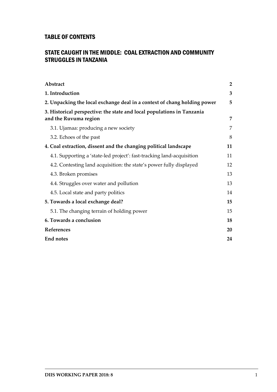## TABLE OF CONTENTS

## STATE CAUGHT IN THE MIDDLE: COAL EXTRACTION AND COMMUNITY STRUGGLES IN TANZANIA

| Abstract                                                                 | $\overline{2}$ |
|--------------------------------------------------------------------------|----------------|
| 1. Introduction                                                          | 3              |
| 2. Unpacking the local exchange deal in a context of chang holding power | 5              |
| 3. Historical perspective: the state and local populations in Tanzania   |                |
| and the Ruvuma region                                                    | 7              |
| 3.1. Ujamaa: producing a new society                                     | 7              |
| 3.2. Echoes of the past                                                  | 8              |
| 4. Coal extraction, dissent and the changing political landscape         | 11             |
| 4.1. Supporting a 'state-led project': fast-tracking land-acquisition    | 11             |
| 4.2. Contesting land acquisition: the state's power fully displayed      | 12             |
| 4.3. Broken promises                                                     | 13             |
| 4.4. Struggles over water and pollution                                  | 13             |
| 4.5. Local state and party politics                                      | 14             |
| 5. Towards a local exchange deal?                                        | 15             |
| 5.1. The changing terrain of holding power                               | 15             |
| 6. Towards a conclusion                                                  | 18             |
| References                                                               | 20             |
| <b>End notes</b>                                                         | 24             |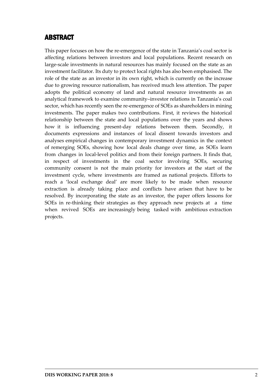## <span id="page-3-0"></span>ABSTRACT

This paper focuses on how the re-emergence of the state in Tanzania's coal sector is affecting relations between investors and local populations. Recent research on large-scale investments in natural resources has mainly focused on the state as an investment facilitator. Its duty to protect local rights has also been emphasised. The role of the state as an investor in its own right, which is currently on the increase due to growing resource nationalism, has received much less attention. The paper adopts the political economy of land and natural resource investments as an analytical framework to examine community–investor relations in Tanzania's coal sector, which has recently seen the re-emergence of SOEs as shareholders in mining investments. The paper makes two contributions. First, it reviews the historical relationship between the state and local populations over the years and shows how it is influencing present-day relations between them. Secondly, it documents expressions and instances of local dissent towards investors and analyses empirical changes in contemporary investment dynamics in the context of remerging SOEs, showing how local deals change over time, as SOEs learn from changes in local-level politics and from their foreign partners. It finds that, in respect of investments in the coal sector involving SOEs, securing community consent is not the main priority for investors at the start of the investment cycle, where investments are framed as national projects. Efforts to reach a 'local exchange deal' are more likely to be made when resource extraction is already taking place and conflicts have arisen that have to be resolved. By incorporating the state as an investor, the paper offers lessons for SOEs in re-thinking their strategies as they approach new projects at a time when revived SOEs are increasingly being tasked with ambitious extraction projects.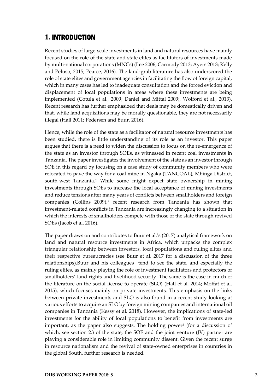# <span id="page-4-0"></span>1. INTRODUCTION

Recent studies of large-scale investments in land and natural resources have mainly focused on the role of the state and state elites as facilitators of investments made by multi-national corporations (MNCs) (Lee 2006; Carmody 2013; Ayers 2013; Kelly and Peluso, 2015; Pearce, 2016). The land-grab literature has also underscored the role of state elites and government agencies in facilitating the flow of foreign capital, which in many cases has led to inadequate consultation and the forced eviction and displacement of local populations in areas where these investments are being implemented (Cotula et al., 2009; Daniel and Mittal 2009;, Wolford et al., 2013). Recent research has further emphasized that deals may be domestically driven and that, while land acquisitions may be morally questionable, they are not necessarily illegal (Hall 2011; Pedersen and Buur, 2016).

Hence, while the role of the state as a facilitator of natural resource investments has been studied, there is little understanding of its role as an investor. This paper argues that there is a need to widen the discussion to focus on the re-emergence of the state as an investor through SOEs, as witnessed in recent coal investments in Tanzania. The paper investigates the involvement of the state as an investor through SOE in this regard by focusing on a case study of community members who were relocated to pave the way for a coal mine in Ngaka (TANCOAL), Mbinga District, south-west Tanzania.*<sup>1</sup>* While some might expect state ownership in mining investments through SOEs to increase the local acceptance of mining investments and reduce tensions after many years of conflicts between smallholders and foreign companies (Collins 2009),*<sup>2</sup>* recent research from Tanzania has shown that investment-related conflicts in Tanzania are increasingly changing to a situation in which the interests of smallholders compete with those of the state through revived SOEs (Jacob et al. 2016).

The paper draws on and contributes to Buur et al.'s (2017) analytical framework on land and natural resource investments in Africa, which unpacks the complex triangular relationship between investors, local populations and ruling elites and their respective bureaucracies (see Buur et al. 2017 for a discussion of the three relationships).Buur and his colleagues tend to see the state, and especially the ruling elites, as mainly playing the role of investment facilitators and protectors of smallholders' land rights and livelihood security. The same is the case in much of the literature on the social license to operate (SLO) (Hall et al. 2014; Moffat et al. 2015), which focuses mainly on private investments. This emphasis on the links between private investments and SLO is also found in a recent study looking at various efforts to acquire an SLO by foreign mining companies and international oil companies in Tanzania (Kessy et al. 2018). However, the implications of state-led investments for the ability of local populations to benefit from investments are important, as the paper also suggests. The holding power*<sup>3</sup>* (for a discussion of which, see section 2.) of the state, the SOE and the joint venture (JV) partner are playing a considerable role in limiting community dissent. Given the recent surge in resource nationalism and the revival of state-owned enterprises in countries in the global South, further research is needed.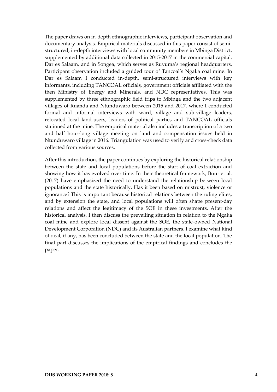The paper draws on in-depth ethnographic interviews, participant observation and documentary analysis. Empirical materials discussed in this paper consist of semistructured, in-depth interviews with local community members in Mbinga District, supplemented by additional data collected in 2015-2017 in the commercial capital, Dar es Salaam, and in Songea, which serves as Ruvuma's regional headquarters. Participant observation included a guided tour of Tancoal's Ngaka coal mine. In Dar es Salaam I conducted in-depth, semi-structured interviews with key informants, including TANCOAL officials, government officials affiliated with the then Ministry of Energy and Minerals, and NDC representatives. This was supplemented by three ethnographic field trips to Mbinga and the two adjacent villages of Ruanda and Ntunduwaro between 2015 and 2017, where I conducted formal and informal interviews with ward, village and sub-village leaders, relocated local land-users, leaders of political parties and TANCOAL officials stationed at the mine. The empirical material also includes a transcription of a two and half hour-long village meeting on land and compensation issues held in Ntunduwaro village in 2016. Triangulation was used to verify and cross-check data collected from various sources.

After this introduction, the paper continues by exploring the historical relationship between the state and local populations before the start of coal extraction and showing how it has evolved over time. In their theoretical framework, Buur et al. (2017) have emphasized the need to understand the relationship between local populations and the state historically. Has it been based on mistrust, violence or ignorance? This is important because historical relations between the ruling elites, and by extension the state, and local populations will often shape present-day relations and affect the legitimacy of the SOE in these investments. After the historical analysis, I then discuss the prevailing situation in relation to the Ngaka coal mine and explore local dissent against the SOE, the state-owned National Development Corporation (NDC) and its Australian partners. I examine what kind of deal, if any, has been concluded between the state and the local population. The final part discusses the implications of the empirical findings and concludes the paper.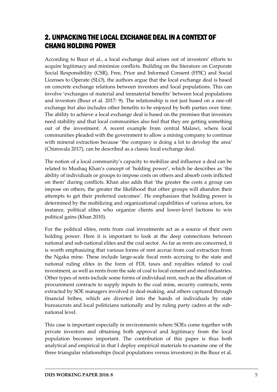# <span id="page-6-0"></span>2. UNPACKING THE LOCAL EXCHANGE DEAL IN A CONTEXT OF CHANG HOLDING POWER

According to Buur et al., a local exchange deal arises out of investors' efforts to acquire legitimacy and minimize conflicts. Building on the literature on Corporate Social Responsibility (CSR), Free, Prior and Informed Consent (FPIC) and Social Licenses to Operate (SLO), the authors argue that the local exchange deal is based on concrete exchange relations between investors and local populations. This can involve 'exchanges of material and immaterial benefits' between local populations and investors (Buur et al. 2017: 9). The relationship is not just based on a one-off exchange but also includes other benefits to be enjoyed by both parties over time. The ability to achieve a local exchange deal is based on the premises that investors need stability and that local communities also feel that they are getting something out of the investment. A recent example from central Malawi, where local communities pleaded with the government to allow a mining company to continue with mineral extraction because 'the company is doing a lot to develop the area' (Chimwala 2017), can be described as a classic local exchange deal.

The notion of a local community's capacity to mobilize and influence a deal can be related to Mushaq Khan's concept of 'holding power', which he describes as 'the ability of individuals or groups to impose costs on others and absorb costs inflicted on them' during conflicts. Khan also adds that 'the greater the costs a group can impose on others, the greater the likelihood that other groups will abandon their attempts to get their preferred outcomes'. He emphasizes that holding power is determined by the mobilizing and organizational capabilities of various actors, for instance, political elites who organize clients and lower-level factions to win political gains (Khan 2010).

For the political elites, rents from coal investments act as a source of their own holding power. Here it is important to look at the deep connections between national and sub-national elites and the coal sector. As far as rents are concerned, it is worth emphasizing that various forms of rent accrue from coal extraction from the Ngaka mine. These include large-scale fiscal rents accruing to the state and national ruling elites in the form of FDI, taxes and royalties related to coal investment, as well as rents from the sale of coal to local cement and steel industries. Other types of rents include some forms of individual rent, such as the allocation of procurement contracts to supply inputs to the coal mine, security contracts, rents extracted by SOE managers involved in deal-making, and others captured through financial bribes, which are diverted into the hands of individuals by state bureaucrats and local politicians nationally and by ruling party cadres at the subnational level.

This case is important especially in environments where SOEs come together with private investors and obtaining both approval and legitimacy from the local population becomes important. The contribution of this paper is thus both analytical and empirical in that I deploy empirical materials to examine one of the three triangular relationships (local populations versus investors) in the Buur et al.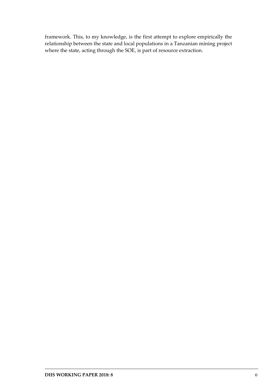framework. This, to my knowledge, is the first attempt to explore empirically the relationship between the state and local populations in a Tanzanian mining project where the state, acting through the SOE, is part of resource extraction.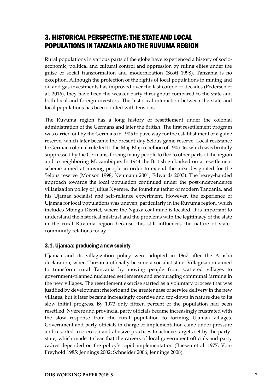# <span id="page-8-0"></span>3. HISTORICAL PERSPECTIVE: THE STATE AND LOCAL POPULATIONS IN TANZANIA AND THE RUVUMA REGION

Rural populations in various parts of the globe have experienced a history of socioeconomic, political and cultural control and oppression by ruling elites under the guise of social transformation and modernization (Scott 1998). Tanzania is no exception. Although the protection of the rights of local populations in mining and oil and gas investments has improved over the last couple of decades (Pedersen et al. 2016), they have been the weaker party throughout compared to the state and both local and foreign investors. The historical interaction between the state and local populations has been riddled with tensions.

The Ruvuma region has a long history of resettlement under the colonial administration of the Germans and later the British. The first resettlement program was carried out by the Germans in 1905 to pave way for the establishment of a game reserve, which later became the present-day Selous game reserve. Local resistance to German colonial rule led to the Maji Maji rebellion of 1905-06, which was brutally suppressed by the Germans, forcing many people to flee to other parts of the region and to neighboring Mozambique. In 1944 the British embarked on a resettlement scheme aimed at moving people in order to extend the area designated for the Selous reserve (Monson 1998; Neumann 2001; Edwards 2003). The heavy-handed approach towards the local population continued under the post-independence villagization policy of Julius Nyerere, the founding father of modern Tanzania, and his Ujamaa socialist and self-reliance experiment. However, the experience of Ujamaa for local populations was uneven, particularly in the Ruvuma region, which includes Mbinga District, where the Ngaka coal mine is located. It is important to understand the historical mistrust and the problems with the legitimacy of the state in the rural Ruvuma region because this still influences the nature of state– community relations today.

## <span id="page-8-1"></span>3.1. Ujamaa: producing a new society

Ujamaa and its villagization policy were adopted in 1967 after the Arusha declaration, when Tanzania officially became a socialist state. Villagization aimed to transform rural Tanzania by moving people from scattered villages to government-planned nucleated settlements and encouraging communal farming in the new villages. The resettlement exercise started as a voluntary process that was justified by development rhetoric and the greater ease of service delivery in the new villages, but it later became increasingly coercive and top-down in nature due to its slow initial progress. By 1973 only fifteen percent of the population had been resettled. Nyerere and provincial party officials became increasingly frustrated with the slow response from the rural population to forming Ujamaa villages. Government and party officials in charge of implementation came under pressure and resorted to coercion and abusive practices to achieve targets set by the partystate, which made it clear that the careers of local government officials and party cadres depended on the policy's rapid implementation (Boesen et al. 1977; Von-Freyhold 1985; Jennings 2002; Schneider 2006; Jennings 2008).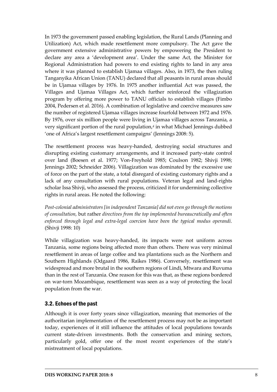In 1973 the government passed enabling legislation, the Rural Lands (Planning and Utilization) Act, which made resettlement more compulsory. The Act gave the government extensive administrative powers by empowering the President to declare any area a 'development area'. Under the same Act, the Minister for Regional Administration had powers to end existing rights to land in any area where it was planned to establish Ujamaa villages. Also, in 1973, the then ruling Tanganyika African Union (TANU) declared that all peasants in rural areas should be in Ujamaa villages by 1976. In 1975 another influential Act was passed, the Villages and Ujamaa Villages Act, which further reinforced the villagization program by offering more power to TANU officials to establish villages (Fimbo 2004, Pedersen et al. 2016). A combination of legislative and coercive measures saw the number of registered Ujamaa villages increase fourfold between 1972 and 1976. By 1976, over six million people were living in Ujamaa villages across Tanzania, a very significant portion of the rural population,*<sup>4</sup>* in what Michael Jennings dubbed 'one of Africa's largest resettlement campaigns' (Jennings 2008: 5).

The resettlement process was heavy-handed, destroying social structures and disrupting existing customary arrangements, and it increased party-state control over land (Boesen et al. 1977; Von-Freyhold 1985; Coulson 1982; Shivji 1998; Jennings 2002; Schneider 2006). Villagization was dominated by the excessive use of force on the part of the state, a total disregard of existing customary rights and a lack of any consultation with rural populations. Veteran legal and land-rights scholar Issa Shivji, who assessed the process, criticized it for undermining collective rights in rural areas. He noted the following:

*Post-colonial administrators [in independent Tanzania] did not even go through the motions of consultation,* but rather *directives from the top implemented bureaucratically and often enforced through legal and extra-legal coercion have been the typical modus operandi.* (Shivji 1998: 10)

While villagization was heavy-handed, its impacts were not uniform across Tanzania, some regions being affected more than others. There was very minimal resettlement in areas of large coffee and tea plantations such as the Northern and Southern Highlands (Odgaard 1986, Raikes 1986). Conversely, resettlement was widespread and more brutal in the southern regions of Lindi, Mtwara and Ruvuma than in the rest of Tanzania. One reason for this was that, as these regions bordered on war-torn Mozambique, resettlement was seen as a way of protecting the local population from the war.

#### <span id="page-9-0"></span>3.2. Echoes of the past

Although it is over forty years since villagization, meaning that memories of the authoritarian implementation of the resettlement process may not be as important today, experiences of it still influence the attitudes of local populations towards current state-driven investments. Both the conservation and mining sectors, particularly gold, offer one of the most recent experiences of the state's mistreatment of local populations.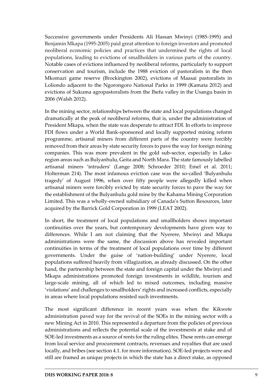Successive governments under Presidents Ali Hassan Mwinyi (1985-1995) and Benjamin Mkapa (1995-2005) paid great attention to foreign investors and promoted neoliberal economic policies and practices that undermined the rights of local populations, leading to evictions of smallholders in various parts of the country. Notable cases of evictions influenced by neoliberal reforms, particularly to support conservation and tourism, include the 1988 eviction of pastoralists in the then Mkomazi game reserve (Brockington 2002), evictions of Maasai pastoralists in Loliondo adjacent to the Ngorongoro National Parks in 1999 (Kamata 2012) and evictions of Sukuma agropastoralists from the Ihefu valley in the Usangu basin in 2006 (Walsh 2012).

In the mining sector, relationships between the state and local populations changed dramatically at the peak of neoliberal reforms, that is, under the administration of President Mkapa, when the state was desperate to attract FDI. In efforts to improve FDI flows under a World Bank-sponsored and locally supported mining reform programme, artisanal miners from different parts of the country were forcibly removed from their areas by state security forces to pave the way for foreign mining companies. This was more prevalent in the gold sub-sector, especially in Lakeregion areas such as Bulyanhulu, Geita and North Mara. The state famously labelled artisanal miners 'intruders' (Lange 2008; Schroeder 2010; Emel et al. 2011; Holterman 214). The most infamous eviction case was the so-called 'Bulyanhulu tragedy' of August 1996, when over fifty people were allegedly killed when artisanal miners were forcibly evicted by state security forces to pave the way for the establishment of the Bulyanhulu gold mine by the Kahama Mining Corporation Limited. This was a wholly-owned subsidiary of Canada's Sutton Resources, later acquired by the Barrick Gold Corporation in 1999 (LEAT 2002).

In short, the treatment of local populations and smallholders shows important continuities over the years, but contemporary developments have given way to differences. While I am not claiming that the Nyerere, Mwinyi and Mkapa administrations were the same, the discussion above has revealed important continuities in terms of the treatment of local populations over time by different governments. Under the guise of 'nation-building' under Nyerere, local populations suffered heavily from villagization, as already discussed. On the other hand, the partnership between the state and foreign capital under the Mwinyi and Mkapa administrations promoted foreign investments in wildlife, tourism and large-scale mining, all of which led to mixed outcomes, including massive 'violations' and challenges to smallholders' rights and increased conflicts, especially in areas where local populations resisted such investments.

The most significant difference in recent years was when the Kikwete administration paved way for the revival of the SOEs in the mining sector with a new Mining Act in 2010. This represented a departure from the policies of previous administrations and reflects the potential scale of the investments at stake and of SOE-led investments as a source of rents for the ruling elites. These rents can emerge from local service and procurement contracts, revenues and royalties that are used locally, and bribes (see section 4.1. for more information). SOE-led projects were and still are framed as unique projects in which the state has a direct stake, as opposed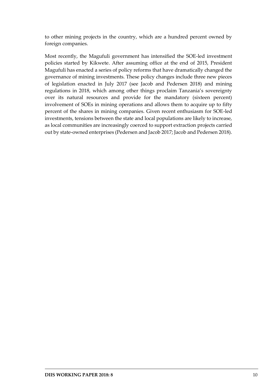to other mining projects in the country, which are a hundred percent owned by foreign companies.

Most recently, the Magufuli government has intensified the SOE-led investment policies started by Kikwete. After assuming office at the end of 2015, President Magufuli has enacted a series of policy reforms that have dramatically changed the governance of mining investments. These policy changes include three new pieces of legislation enacted in July 2017 (see Jacob and Pedersen 2018) and mining regulations in 2018, which among other things proclaim Tanzania's sovereignty over its natural resources and provide for the mandatory (sixteen percent) involvement of SOEs in mining operations and allows them to acquire up to fifty percent of the shares in mining companies. Given recent enthusiasm for SOE-led investments, tensions between the state and local populations are likely to increase, as local communities are increasingly coerced to support extraction projects carried out by state-owned enterprises (Pedersen and Jacob 2017; Jacob and Pedersen 2018).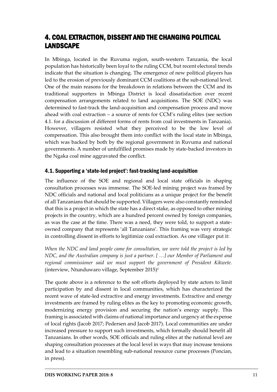# <span id="page-12-0"></span>4. COAL EXTRACTION, DISSENT AND THE CHANGING POLITICAL LANDSCAPE

In Mbinga, located in the Ruvuma region, south-western Tanzania, the local population has historically been loyal to the ruling CCM, but recent electoral trends indicate that the situation is changing. The emergence of new political players has led to the erosion of previously dominant CCM coalitions at the sub-national level. One of the main reasons for the breakdown in relations between the CCM and its traditional supporters in Mbinga District is local dissatisfaction over recent compensation arrangements related to land acquisitions. The SOE (NDC) was determined to fast-track the land-acquisition and compensation process and move ahead with coal extraction – a source of rents for CCM's ruling elites (see section 4.1. for a discussion of different forms of rents from coal investments in Tanzania). However, villagers resisted what they perceived to be the low level of compensation. This also brought them into conflict with the local state in Mbinga, which was backed by both by the regional government in Ruvuma and national governments. A number of unfulfilled promises made by state-backed investors in the Ngaka coal mine aggravated the conflict.

## <span id="page-12-1"></span>4.1. Supporting a 'state-led project': fast-tracking land-acquisition

The influence of the SOE and regional and local state officials in shaping consultation processes was immense. The SOE-led mining project was framed by NDC officials and national and local politicians as a unique project for the benefit of all Tanzanians that should be supported. Villagers were also constantly reminded that this is a project in which the state has a direct stake, as opposed to other mining projects in the country, which are a hundred percent owned by foreign companies, as was the case at the time. There was a need, they were told, to support a stateowned company that represents 'all Tanzanians'. This framing was very strategic in controlling dissent in efforts to legitimize coal extraction. As one villager put it:

*When the NDC and land people came for consultation, we were told the project is led by NDC, and the Australian company is just a partner. [ …] our Member of Parliament and regional commissioner said we must support the government of President Kikwete.* (interview, Ntunduwaro village, September 2015)*<sup>5</sup>*

The quote above is a reference to the soft efforts deployed by state actors to limit participation by and dissent in local communities, which has characterized the recent wave of state-led extractive and energy investments. Extractive and energy investments are framed by ruling elites as the key to promoting economic growth, modernizing energy provision and securing the nation's energy supply. This framing is associated with claims of national importance and urgency at the expense of local rights (Jacob 2017; Pedersen and Jacob 2017). Local communities are under increased pressure to support such investments, which formally should benefit all Tanzanians. In other words, SOE officials and ruling elites at the national level are shaping consultation processes at the local level in ways that may increase tensions and lead to a situation resembling sub-national resource curse processes (Poncian, in press).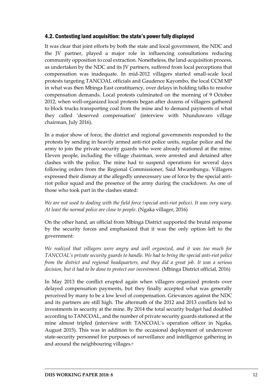#### <span id="page-13-0"></span>4.2. Contesting land acquisition: the state's power fully displayed

It was clear that joint efforts by both the state and local government, the NDC and the JV partner, played a major role in influencing consultations reducing community opposition to coal extraction. Nonetheless, the land-acquisition process, as undertaken by the NDC and its JV partners, suffered from local perceptions that compensation was inadequate. In mid-2012 villagers started small-scale local protests targeting TANCOAL officials and Gaudence Kayombo, the local CCM MP in what was then Mbinga East constituency, over delays in holding talks to resolve compensation demands. Local protests culminated on the morning of 9 October 2012, when well-organized local protests began after dozens of villagers gathered to block trucks transporting coal from the mine and to demand payments of what they called 'deserved compensation' (interview with Ntunduwaro village chairman, July 2016).

In a major show of force, the district and regional governments responded to the protests by sending in heavily armed anti-riot police units, regular police and the army to join the private security guards who were already stationed at the mine. Eleven people, including the village chairman, were arrested and detained after clashes with the police. The mine had to suspend operations for several days following orders from the Regional Commissioner, Said Mwambungu. Villagers expressed their dismay at the allegedly unnecessary use of force by the special antiriot police squad and the presence of the army during the crackdown. As one of those who took part in the clashes stated:

#### *We are not used to dealing with the field force (special anti-riot police). It was very scary. At least the normal police are close to people*. (Ngaka villager, 2016)

On the other hand, an official from Mbinga District supported the brutal response by the security forces and emphasized that it was the only option left to the government:

*We realized that villagers were angry and well organized, and it was too much for TANCOAL's private security guards to handle. We had to bring the special anti-riot police from the district and regional headquarters, and they did a great job. It was a serious decision, but it had to be done to protect our investment.* (Mbinga District official, 2016)

In May 2013 the conflict erupted again when villagers organized protests over delayed compensation payments, but they finally accepted what was generally perceived by many to be a low level of compensation. Grievances against the NDC and its partners are still high. The aftermath of the 2012 and 2013 conflicts led to investments in security at the mine. By 2014 the total security budget had doubled according to TANCOAL, and the number of private security guards stationed at the mine almost tripled (interview with TANCOAL's operation officer in Ngaka, August 2015). This was in addition to the occasional deployment of undercover state-security personnel for purposes of surveillance and intelligence gathering in and around the neighbouring villages.*6*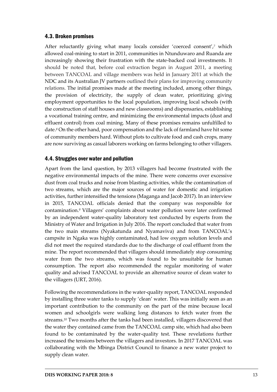#### <span id="page-14-0"></span>4.3. Broken promises

After reluctantly giving what many locals consider 'coerced consent', *<sup>7</sup>* which allowed coal-mining to start in 2011, communities in Ntunduwaro and Ruanda are increasingly showing their frustration with the state-backed coal investments. It should be noted that, before coal extraction began in August 2011, a meeting between TANCOAL and village members was held in January 2011 at which the NDC and its Australian JV partners outlined their plans for improving community relations. The initial promises made at the meeting included, among other things, the provision of electricity, the supply of clean water, prioritizing giving employment opportunities to the local population, improving local schools (with the construction of staff houses and new classrooms) and dispensaries, establishing a vocational training centre, and minimizing the environmental impacts (dust and effluent control) from coal mining. Many of these promises remains unfulfilled to date.*<sup>8</sup>* On the other hand, poor compensation and the lack of farmland have hit some of community members hard. Without plots to cultivate food and cash crops, many are now surviving as casual laborers working on farms belonging to other villagers.

### <span id="page-14-1"></span>4.4. Struggles over water and pollution

Apart from the land question, by 2013 villagers had become frustrated with the negative environmental impacts of the mine. There were concerns over excessive dust from coal trucks and noise from blasting activities, while the contamination of two streams, which are the major sources of water for domestic and irrigation activities, further intensified the tensions (Maganga and Jacob 2017). In an interview in 2015, TANCOAL officials denied that the company was responsible for contamination.*<sup>9</sup>* Villagers' complaints about water pollution were later confirmed by an independent water-quality laboratory test conducted by experts from the Ministry of Water and Irrigation in July 2016. The report concluded that water from the two main streams (Nyakatunda and Nyamaviva) and from TANCOAL's campsite in Ngaka was highly contaminated, had low oxygen solution levels and did not meet the required standards due to the discharge of coal effluent from the mine. The report recommended that villagers should immediately stop consuming water from the two streams, which was found to be unsuitable for human consumption. The report also recommended the regular monitoring of water quality and advised TANCOAL to provide an alternative source of clean water to the villagers (URT, 2016).

Following the recommendations in the water-quality report, TANCOAL responded by installing three water tanks to supply 'clean' water. This was initially seen as an important contribution to the community on the part of the mine because local women and schoolgirls were walking long distances to fetch water from the streams.*<sup>10</sup>* Two months after the tanks had been installed, villagers discovered that the water they contained came from the TANCOAL camp site, which had also been found to be contaminated by the water-quality test. These revelations further increased the tensions between the villagers and investors. In 2017 TANCOAL was collaborating with the Mbinga District Council to finance a new water project to supply clean water.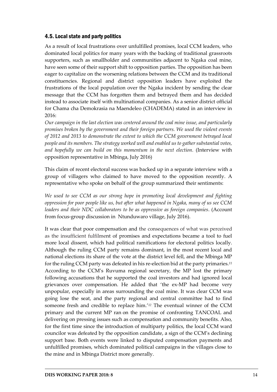### <span id="page-15-0"></span>4.5. Local state and party politics

As a result of local frustrations over unfulfilled promises, local CCM leaders, who dominated local politics for many years with the backing of traditional grassroots supporters, such as smallholder and communities adjacent to Ngaka coal mine, have seen some of their support shift to opposition parties. The opposition has been eager to capitalize on the worsening relations between the CCM and its traditional constituencies. Regional and district opposition leaders have exploited the frustrations of the local population over the Ngaka incident by sending the clear message that the CCM has forgotten them and betrayed them and has decided instead to associate itself with multinational companies. As a senior district official for Chama cha Demokrasia na Maendeleo (CHADEMA) stated in an interview in 2016:

*Our campaign in the last election was centered around the coal mine issue, and particularly promises broken by the government and their foreign partners. We used the violent events of 2012 and 2013 to demonstrate the extent to which the CCM government betrayed local people and its members. The strategy worked well and enabled us to gather substantial votes, and hopefully we can build on this momentum in the next election.* (Interview with opposition representative in Mbinga, July 2016)

This claim of recent electoral success was backed up in a separate interview with a group of villagers who claimed to have moved to the opposition recently. A representative who spoke on behalf of the group summarized their sentiments:

*We used to see CCM as our strong hope in promoting local development and fighting oppression for poor people like us, but after what happened in Ngaka, many of us see CCM leaders and their NDC collaborators to be as oppressive as foreign companies*. (Account from focus-group discussion in Ntunduwaro village, July 2016).

It was clear that poor compensation and the consequences of what was perceived as the insufficient fulfilment of promises and expectations became a tool to fuel more local dissent, which had political ramifications for electoral politics locally. Although the ruling CCM party remains dominant, in the most recent local and national elections its share of the vote at the district level fell, and the Mbinga MP for the ruling CCM party was defeated in his re-election bid at the party primaries.*<sup>11</sup>* According to the CCM's Ruvuma regional secretary, the MP lost the primary following accusations that he supported the coal investors and had ignored local grievances over compensation. He added that 'the ex-MP had become very unpopular, especially in areas surrounding the coal mine. It was clear CCM was going lose the seat, and the party regional and central committee had to find someone fresh and credible to replace him.' *<sup>12</sup>* The eventual winner of the CCM primary and the current MP ran on the promise of confronting TANCOAL and delivering on pressing issues such as compensation and community benefits. Also, for the first time since the introduction of multiparty politics, the local CCM ward councilor was defeated by the opposition candidate, a sign of the CCM's declining support base. Both events were linked to disputed compensation payments and unfulfilled promises, which dominated political campaigns in the villages close to the mine and in Mbinga District more generally.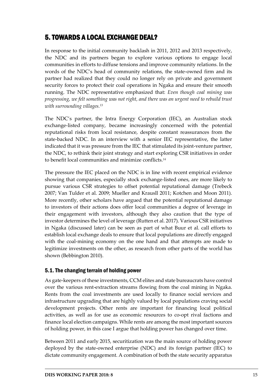# <span id="page-16-0"></span>5. TOWARDS A LOCAL EXCHANGE DEAL?

In response to the initial community backlash in 2011, 2012 and 2013 respectively, the NDC and its partners began to explore various options to engage local communities in efforts to diffuse tensions and improve community relations. In the words of the NDC's head of community relations, the state-owned firm and its partner had realized that they could no longer rely on private and government security forces to protect their coal operations in Ngaka and ensure their smooth running. The NDC representative emphasized that: *Even though coal mining was progressing, we felt something was not right, and there was an urgent need to rebuild trust with surrounding villages.<sup>13</sup>*

The NDC's partner, the Intra Energy Corporation (IEC), an Australian stock exchange-listed company, became increasingly concerned with the potential reputational risks from local resistance, despite constant reassurances from the state-backed NDC. In an interview with a senior IEC representative, the latter indicated that it was pressure from the IEC that stimulated its joint-venture partner, the NDC, to rethink their joint strategy and start exploring CSR initiatives in order to benefit local communities and minimize conflicts.*<sup>14</sup>*

The pressure the IEC placed on the NDC is in line with recent empirical evidence showing that companies, especially stock exchange-listed ones, are more likely to pursue various CSR strategies to offset potential reputational damage (Trebeck 2007; Van Tulder et al. 2009; Mueller and Krausll 2011; Kotchen and Moon 2011). More recently, other scholars have argued that the potential reputational damage to investors of their actions does offer local communities a degree of leverage in their engagement with investors, although they also caution that the type of investor determines the level of leverage (Rutten et al. 2017). Various CSR initiatives in Ngaka (discussed later) can be seen as part of what Buur et al. call efforts to establish local exchange deals to ensure that local populations are directly engaged with the coal-mining economy on the one hand and that attempts are made to legitimize investments on the other, as research from other parts of the world has shown (Bebbington 2010).

### <span id="page-16-1"></span>5.1.The changing terrain of holding power

As gate-keepers of these investments, CCM elites and state bureaucrats have control over the various rent-extraction streams flowing from the coal mining in Ngaka. Rents from the coal investments are used locally to finance social services and infrastructure upgrading that are highly valued by local populations craving social development projects. Other rents are important for financing local political activities, as well as for use as economic resources to co-opt rival factions and finance local election campaigns. While rents are among the most important sources of holding power, in this case I argue that holding power has changed over time.

Between 2011 and early 2015, securitization was the main source of holding power deployed by the state-owned enterprise (NDC) and its foreign partner (IEC) to dictate community engagement. A combination of both the state security apparatus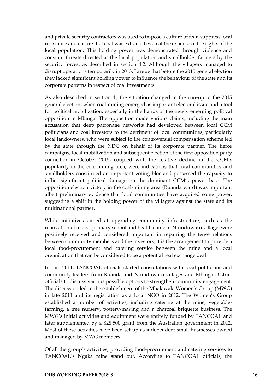and private security contractors was used to impose a culture of fear, suppress local resistance and ensure that coal was extracted even at the expense of the rights of the local population. This holding power was demonstrated through violence and constant threats directed at the local population and smallholder farmers by the security forces, as described in section 4.2. Although the villagers managed to disrupt operations temporarily in 2013, I argue that before the 2015 general election they lacked significant holding power to influence the behaviour of the state and its corporate patterns in respect of coal investments.

As also described in section 4., the situation changed in the run-up to the 2015 general election, when coal-mining emerged as important electoral issue and a tool for political mobilization, especially in the hands of the newly emerging political opposition in Mbinga. The opposition made various claims, including the main accusation that deep patronage networks had developed between local CCM politicians and coal investors to the detriment of local communities, particularly local landowners, who were subject to the controversial compensation scheme led by the state through the NDC on behalf of its corporate partner. The fierce campaigns, local mobilization and subsequent election of the first opposition party councillor in October 2015, coupled with the relative decline in the CCM's popularity in the coal-mining area, were indications that local communities and smallholders constituted an important voting bloc and possessed the capacity to inflict significant political damage on the dominant CCM's power base. The opposition election victory in the coal-mining area (Ruanda ward) was important albeit preliminary evidence that local communities have acquired some power, suggesting a shift in the holding power of the villagers against the state and its multinational partner.

While initiatives aimed at upgrading community infrastructure, such as the renovation of a local primary school and health clinic in Ntunduwaro village, were positively received and considered important in repairing the tense relations between community members and the investors, it is the arrangement to provide a local food-procurement and catering service between the mine and a local organization that can be considered to be a potential real exchange deal.

In mid-2011, TANCOAL officials started consultations with local politicians and community leaders from Ruanda and Ntunduwaro villages and Mbinga District officials to discuss various possible options to strengthen community engagement. The discussion led to the establishment of the Mbalawala Women's Group (MWG) in late 2011 and its registration as a local NGO in 2012. The Women's Group established a number of activities, including catering at the mine, vegetablefarming, a tree nursery, pottery-making and a charcoal briquette business. The MWG's initial activities and equipment were entirely funded by TANCOAL and later supplemented by a \$28,500 grant from the Australian government in 2012. Most of these activities have been set up as independent small businesses owned and managed by MWG members.

Of all the group's activities, providing food-procurement and catering services to TANCOAL's Ngaka mine stand out. According to TANCOAL officials, the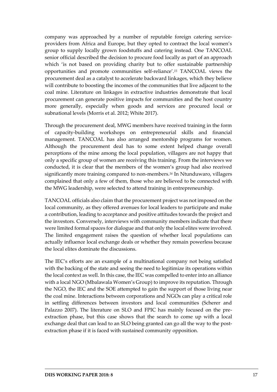company was approached by a number of reputable foreign catering serviceproviders from Africa and Europe, but they opted to contract the local women's group to supply locally grown foodstuffs and catering instead. One TANCOAL senior official described the decision to procure food locally as part of an approach which 'is not based on providing charity but to offer sustainable partnership opportunities and promote communities self-reliance'. *<sup>15</sup>* TANCOAL views the procurement deal as a catalyst to accelerate backward linkages, which they believe will contribute to boosting the incomes of the communities that live adjacent to the coal mine. Literature on linkages in extractive industries demonstrate that local procurement can generate positive impacts for communities and the host country more generally, especially when goods and services are procured local or subnational levels (Morris et al. 2012; White 2017).

Through the procurement deal, MWG members have received training in the form of capacity-building workshops on entrepreneurial skills and financial management. TANCOAL has also arranged mentorship programs for women. Although the procurement deal has to some extent helped change overall perceptions of the mine among the local population, villagers are not happy that only a specific group of women are receiving this training. From the interviews we conducted, it is clear that the members of the women's group had also received significantly more training compared to non-members.*<sup>16</sup>* In Ntunduwaro, villagers complained that only a few of them, those who are believed to be connected with the MWG leadership, were selected to attend training in entrepreneurship.

TANCOAL officials also claim that the procurement project was not imposed on the local community, as they offered avenues for local leaders to participate and make a contribution, leading to acceptance and positive attitudes towards the project and the investors. Conversely, interviews with community members indicate that there were limited formal spaces for dialogue and that only the local elites were involved. The limited engagement raises the question of whether local populations can actually influence local exchange deals or whether they remain powerless because the local elites dominate the discussions.

The IEC's efforts are an example of a multinational company not being satisfied with the backing of the state and seeing the need to legitimize its operations within the local context as well. In this case, the IEC was compelled to enter into an alliance with a local NGO (Mbalawala Women's Group) to improve its reputation. Through the NGO, the IEC and the SOE attempted to gain the support of those living near the coal mine. Interactions between corporations and NGOs can play a critical role in settling differences between investors and local communities (Scherer and Palazzo 2007). The literature on SLO and FPIC has mainly focused on the preextraction phase, but this case shows that the search to come up with a local exchange deal that can lead to an SLO being granted can go all the way to the postextraction phase if it is faced with sustained community opposition.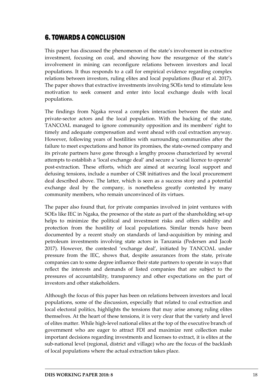# <span id="page-19-0"></span>6. TOWARDS A CONCLUSION

This paper has discussed the phenomenon of the state's involvement in extractive investment, focusing on coal, and showing how the resurgence of the state's involvement in mining can reconfigure relations between investors and local populations. It thus responds to a call for empirical evidence regarding complex relations between investors, ruling elites and local populations (Buur et al. 2017). The paper shows that extractive investments involving SOEs tend to stimulate less motivation to seek consent and enter into local exchange deals with local populations.

The findings from Ngaka reveal a complex interaction between the state and private-sector actors and the local population. With the backing of the state, TANCOAL managed to ignore community opposition and its members' right to timely and adequate compensation and went ahead with coal extraction anyway. However, following years of hostilities with surrounding communities after the failure to meet expectations and honor its promises, the state-owned company and its private partners have gone through a lengthy process characterized by several attempts to establish a 'local exchange deal' and secure a 'social licence to operate' post-extraction. These efforts, which are aimed at securing local support and defusing tensions, include a number of CSR initiatives and the local procurement deal described above. The latter, which is seen as a success story and a potential exchange deal by the company, is nonetheless greatly contested by many community members, who remain unconvinced of its virtues.

The paper also found that, for private companies involved in joint ventures with SOEs like IEC in Ngaka, the presence of the state as part of the shareholding set-up helps to minimize the political and investment risks and offers stability and protection from the hostility of local populations. Similar trends have been documented by a recent study on standards of land-acquisition by mining and petroleum investments involving state actors in Tanzania (Pedersen and Jacob 2017). However, the contested 'exchange deal', initiated by TANCOAL under pressure from the IEC, shows that, despite assurances from the state, private companies can to some degree influence their state partners to operate in ways that reflect the interests and demands of listed companies that are subject to the pressures of accountability, transparency and other expectations on the part of investors and other stakeholders.

Although the focus of this paper has been on relations between investors and local populations, some of the discussion, especially that related to coal extraction and local electoral politics, highlights the tensions that may arise among ruling elites themselves. At the heart of these tensions, it is very clear that the variety and level of elites matter. While high-level national elites at the top of the executive branch of government who are eager to attract FDI and maximize rent collection make important decisions regarding investments and licenses to extract, it is elites at the sub-national level (regional, district and village) who are the focus of the backlash of local populations where the actual extraction takes place.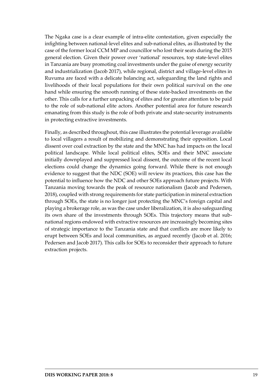The Ngaka case is a clear example of intra-elite contestation, given especially the infighting between national-level elites and sub-national elites, as illustrated by the case of the former local CCM MP and councillor who lost their seats during the 2015 general election. Given their power over 'national' resources, top state-level elites in Tanzania are busy promoting coal investments under the guise of energy security and industrialization (Jacob 2017), while regional, district and village-level elites in Ruvuma are faced with a delicate balancing act, safeguarding the land rights and livelihoods of their local populations for their own political survival on the one hand while ensuring the smooth running of these state-backed investments on the other. This calls for a further unpacking of elites and for greater attention to be paid to the role of sub-national elite actors. Another potential area for future research emanating from this study is the role of both private and state-security instruments in protecting extractive investments.

Finally, as described throughout, this case illustrates the potential leverage available to local villagers a result of mobilizing and demonstrating their opposition. Local dissent over coal extraction by the state and the MNC has had impacts on the local political landscape. While local political elites, SOEs and their MNC associate initially downplayed and suppressed local dissent, the outcome of the recent local elections could change the dynamics going forward. While there is not enough evidence to suggest that the NDC (SOE) will review its practices, this case has the potential to influence how the NDC and other SOEs approach future projects. With Tanzania moving towards the peak of resource nationalism (Jacob and Pedersen, 2018), coupled with strong requirements for state participation in mineral extraction through SOEs, the state is no longer just protecting the MNC's foreign capital and playing a brokerage role, as was the case under liberalization, it is also safeguarding its own share of the investments through SOEs. This trajectory means that subnational regions endowed with extractive resources are increasingly becoming sites of strategic importance to the Tanzania state and that conflicts are more likely to erupt between SOEs and local communities, as argued recently (Jacob et al. 2016; Pedersen and Jacob 2017). This calls for SOEs to reconsider their approach to future extraction projects.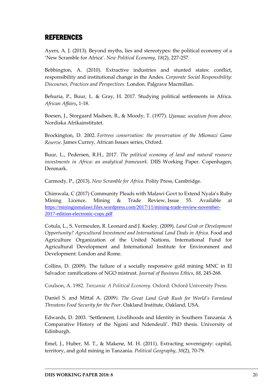## <span id="page-21-0"></span>REFERENCES

Ayers, A. J. (2013). Beyond myths, lies and stereotypes: the political economy of a 'New Scramble for Africa'. *New Political Economy*, *18*(2), 227-257.

Bebbington, A. (2010). Extractive industries and stunted states: conflict, responsibility and institutional change in the Andes. *Corporate Social Responsibility: Discourses, Practices and Perspectives.* London. Palgrave Macmillan.

Behuria, P., Buur, L. & Gray, H. 2017. Studying political settlements in Africa. *African Affairs***,** 1-18.

Boesen, J., Storgaard Madsen, B., & Moody, T. (1977). *Ujamaa: socialism from above*. Nordiska Afrikainstitutet.

Brockington, D. 2002. *Fortress conservation: the preservation of the Mkomazi Game Reserve*. James Currey, African Issues series, Oxford.

Buur, L., Pedersen, R.H., 2017. *The political economy of land and natural resource investments in Africa: an analytical framework*. DIIS Working Paper. Copenhagen, Denmark.

Carmody, P., (2013). *New Scramble for Africa*. Polity Press, Cambridge.

Chimwala, C (2017) Community Pleads with Malawi Govt to Extend Nyala's Ruby Mining Licence. Mining & Trade Review, Issue 55. Available at [https://mininginmalawi.files.wordpress.com/2017/11/mining-trade-review-november-](https://mininginmalawi.files.wordpress.com/2017/11/mining-trade-review-november-2017-edition-electronic-copy.pdf)[2017-edition-electronic-copy.pdf](https://mininginmalawi.files.wordpress.com/2017/11/mining-trade-review-november-2017-edition-electronic-copy.pdf)

Cotula, L., S. Vermeulen, R. Leonard and J. Keeley. (2009). *Land Grab or Development Opportunity? Agricultural Investment and International Land Deals in Africa*. Food and Agriculture Organization of the United Nations, International Fund for Agricultural Development and International Institute for Environment and Development: London and Rome.

Collins, D. (2009). The failure of a socially responsive gold mining MNC in El Salvador: ramifications of NGO mistrust. *Journal of Business Ethics*, *88*, 245-268.

Coulson, A. 1982. *Tanzania: A Political Economy*. Oxford: Oxford University Press.

Daniel S. and Mittal A. (2009*). The Great Land Grab Rush for World's Farmland Threatens Food Security for the Poor*. Oakland Institute, Oakland, USA.

Edwards, D. 2003. 'Settlement, Livelihoods and Identity in Southern Tanzania: A Comparative History of the Ngoni and Ndendeuli'. PhD thesis. University of Edinburgh.

Emel, J., Huber, M. T., & Makene, M. H. (2011). Extracting sovereignty: capital, territory, and gold mining in Tanzania. *Political Geography*, *30*(2), 70-79.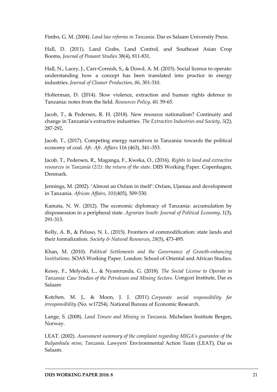Fimbo, G. M. (2004). *Land law reforms in Tanzania*. Dar es Salaam University Press.

Hall, D. (2011). Land Grabs, Land Control, and Southeast Asian Crop Booms, *Journal of Peasant Studies* 38(4), 811-831.

Hall, N., Lacey, J., Carr-Cornish, S., & Dowd, A. M. (2015). Social licence to operate: understanding how a concept has been translated into practice in energy industries. *Journal of Cleaner Production*, *86*, 301-310.

Holterman, D. (2014). Slow violence, extraction and human rights defence in Tanzania: notes from the field. *Resources Policy*, *40*, 59-65.

Jacob, T., & Pedersen, R. H. (2018). New resource nationalism? Continuity and change in Tanzania's extractive industries. *The Extractive Industries and Society*, *5*(2), 287-292.

Jacob, T., (2017). Competing energy narratives in Tanzania: towards the political economy of coal. *Afr. Afr. Affairs* 116 (463), 341–353.

Jacob, T., Pedersen, R., Maganga, F., Kweka, O., (2016). *Rights to land and extractive resources in Tanzania (2/2): the return of the state*. DIIS Working Paper. Copenhagen, Denmark.

Jennings, M. (2002). 'Almost an Oxfam in itself': Oxfam, Ujamaa and development in Tanzania. *African Affairs*, *101*(405), 509-530.

Kamata, N. W. (2012). The economic diplomacy of Tanzania: accumulation by dispossession in a peripheral state. *Agrarian South: Journal of Political Economy*, 1(3), 291-313.

Kelly, A. B., & Peluso, N. L. (2015). Frontiers of commodification: state lands and their formalization. *Society & Natural Resources*, *28*(5), 473-495.

Khan, M. (2010). *Political Settlements and the Governance of Growth-enhancing Institutions*. SOAS Working Paper. London: School of Oriental and African Studies.

Kessy, F., Melyoki, L., & Nyamrunda, G. (2018). *The Social License to Operate in Tanzania: Case Studies of the Petroleum and Mining Sectors*. Uongozi Institute, Dar es Salaam

Kotchen, M. J., & Moon, J. J. (2011). *Corporate social responsibility for irresponsibility* (No. w17254). National Bureau of Economic Research.

Lange, S. (2008). *Land Tenure and Mining in Tanzania*. Michelsen Institute Bergen, Norway.

LEAT. (2002). *Assessment summary of the complaint regarding MIGA's guarantee of the Bulyanhulu mine, Tanzania*. Lawyers' Environmental Action Team (LEAT), Dar es Salaam.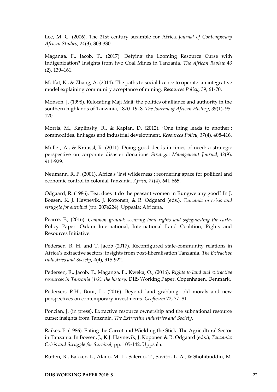Lee, M. C. (2006). The 21st century scramble for Africa. *Journal of Contemporary African Studies*, *24*(3), 303-330.

Maganga, F., Jacob, T., (2017). Defying the Looming Resource Curse with Indigenization? Insights from two Coal Mines in Tanzania. *The African Review* 43 (2), 139–161.

Moffat, K., & Zhang, A. (2014). The paths to social licence to operate: an integrative model explaining community acceptance of mining. *Resources Policy*, 39, 61-70.

Monson, J. (1998). Relocating Maji Maji: the politics of alliance and authority in the southern highlands of Tanzania, 1870–1918. *The Journal of African History*, *39*(1), 95- 120.

Morris, M., Kaplinsky, R., & Kaplan, D. (2012). 'One thing leads to another': commodities, linkages and industrial development. *Resources Policy*, *37*(4), 408-416.

Muller, A., & Kräussl, R. (2011). Doing good deeds in times of need: a strategic perspective on corporate disaster donations. *Strategic Management Journal*, *32*(9), 911-929.

Neumann, R. P. (2001). Africa's 'last wilderness': reordering space for political and economic control in colonial Tanzania. *Africa*, *71*(4), 641-665.

Odgaard, R. (1986). Tea: does it do the peasant women in Rungwe any good? In J. Boesen, K. J. Havnevik, J. Koponen, & R. Odgaard (eds.), *Tanzania in crisis and struggle for survival* (pp. 207e224). Uppsala: Africana.

Pearce, F., (2016). *Common ground: securing land rights and safeguarding the earth*. Policy Paper. Oxfam International, International Land Coalition, Rights and Resources Initiative.

Pedersen, R. H. and T. Jacob (2017). Reconfigured state-community relations in Africa's extractive sectors: insights from post-liberalisation Tanzania. *The Extractive Industries and Society*, *4*(4), 915-922.

Pedersen, R., Jacob, T., Maganga, F., Kweka, O., (2016). *Rights to land and extractive resources in Tanzania (1/2): the history*. DIIS Working Paper. Copenhagen, Denmark.

Pedersen, R.H., Buur, L., (2016). Beyond land grabbing: old morals and new perspectives on contemporary investments. *Geoforum* 72, 77–81.

Poncian, J. (in press). Extractive resource ownership and the subnational resource curse: insights from Tanzania. *The Extractive Industries and Society*.

Raikes, P. (1986). Eating the Carrot and Wielding the Stick: The Agricultural Sector in Tanzania. In Boesen, J., K.J. Havnevik, J. Koponen & R. Odgaard (eds.), *Tanzania: Crisis and Struggle for Survival,* pp. 105-142. Uppsala.

Rutten, R., Bakker, L., Alano, M. L., Salerno, T., Savitri, L. A., & Shohibuddin, M.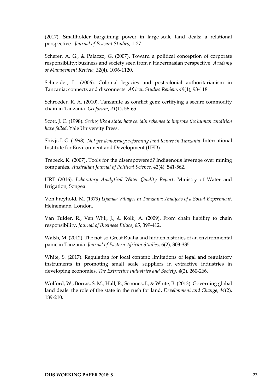(2017). Smallholder bargaining power in large-scale land deals: a relational perspective. *Journal of Peasant Studies*, 1-27.

Scherer, A. G., & Palazzo, G. (2007). Toward a political conception of corporate responsibility: business and society seen from a Habermasian perspective. *Academy of Management Review*, *32*(4), 1096-1120.

Schneider, L. (2006). Colonial legacies and postcolonial authoritarianism in Tanzania: connects and disconnects. *African Studies Review*, *49*(1), 93-118.

Schroeder, R. A. (2010). Tanzanite as conflict gem: certifying a secure commodity chain in Tanzania. *Geoforum*, *41*(1), 56-65.

Scott, J. C. (1998). *Seeing like a state: how certain schemes to improve the human condition have failed*. Yale University Press.

Shivji, I. G. (1998). *Not yet democracy: reforming land tenure in Tanzania*. International Institute for Environment and Development (IIED).

Trebeck, K. (2007). Tools for the disempowered? Indigenous leverage over mining companies. *Australian Journal of Political Science*, *42*(4), 541-562.

URT (2016). *Laboratory Analytical Water Quality Report*. Ministry of Water and Irrigation, Songea.

Von Freyhold, M. (1979) *Ujamaa Villages in Tanzania: Analysis of a Social Experiment*. Heinemann, London.

Van Tulder, R., Van Wijk, J., & Kolk, A. (2009). From chain liability to chain responsibility. *Journal of Business Ethics*, *85*, 399-412.

Walsh, M. (2012). The not-so-Great Ruaha and hidden histories of an environmental panic in Tanzania. *Journal of Eastern African Studies*, 6(2), 303-335.

White, S. (2017). Regulating for local content: limitations of legal and regulatory instruments in promoting small scale suppliers in extractive industries in developing economies. *The Extractive Industries and Society*, *4*(2), 260-266.

Wolford, W., Borras, S. M., Hall, R., Scoones, I., & White, B. (2013). Governing global land deals: the role of the state in the rush for land. *Development and Change*, *44*(2), 189-210.